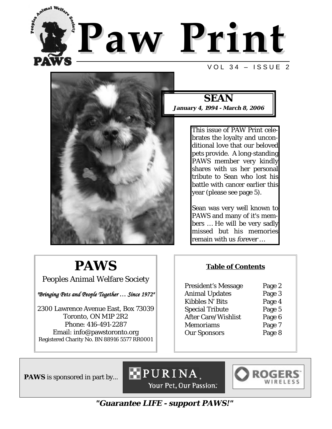



### **SEAN**

**January 4, 1994 - March 8, 2006**

This issue of PAW Print celebrates the loyalty and unconditional love that our beloved pets provide. A long-standing PAWS member very kindly shares with us her personal tribute to Sean who lost his battle with cancer earlier this year (please see page 5).

Sean was very well known to PAWS and many of it's members … He will be very sadly missed but his memories remain with us *forever* ...

# **PAWS**

Peoples Animal Welfare Society

*"Bringing Pets and People Together ... Since 1972"* 

2300 Lawrence Avenue East, Box 73039 Toronto, ON M1P 2R2 Phone: 416-491-2287 Email: info@pawstoronto.org Registered Charity No. BN 88916 5577 RR0001

### **Table of Contents**

| <b>President's Message</b> | Page 2 |
|----------------------------|--------|
| <b>Animal Updates</b>      | Page 3 |
| Kibbles N' Bits            | Page 4 |
| <b>Special Tribute</b>     | Page 5 |
| <b>After Care/Wishlist</b> | Page 6 |
| <b>Memoriams</b>           | Page 7 |
| <b>Our Sponsors</b>        | Page 8 |
|                            |        |

**PAWS** is sponsored in part by...







**"Guarantee LIFE - support PAWS!"**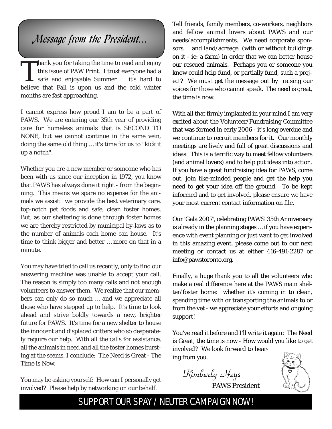## Message from the President...

Thank you for taking the time to read and enjoy this issue of PAW Print. I trust everyone had a safe and enjoyable Summer … it's hard to believe that Fall is upon us and the cold winter months are fast approaching.

I cannot express how proud I am to be a part of PAWS. We are entering our 35th year of providing care for homeless animals that is SECOND TO NONE, but we cannot continue in the same vein, doing the same old thing … it's time for us to "kick it up a notch".

Whether you are a new member or someone who has been with us since our inception in 1972, you know that PAWS has always done it right - from the beginning. This means we spare no expense for the animals we assist: we provide the best veterinary care, top-notch pet foods and safe, clean foster homes. But, as our sheltering is done through foster homes we are thereby restricted by municipal by-laws as to the number of animals each home can house. It's time to think bigger and better … more on that in a minute.

You may have tried to call us recently, only to find our answering machine was unable to accept your call. The reason is simply too many calls and not enough volunteers to answer them. We realize that our members can only do so much … and we appreciate all those who have stepped up to help. It's time to look ahead and strive boldly towards a new, brighter future for PAWS. It's time for a new shelter to house the innocent and displaced critters who so desperately require our help. With all the calls for assistance, all the animals in need and all the foster homes bursting at the seams, I conclude: The Need is Great - The Time is Now.

You may be asking yourself: How can I personally get involved? Please help by networking on our behalf.

Tell friends, family members, co-workers, neighbors and fellow animal lovers about PAWS and our needs/accomplishments. We need corporate sponsors … and land/acreage (with or without buildings on it - ie: a farm) in order that we can better house our rescued animals. Perhaps you or someone you know could help fund, or partially fund, such a project? We must get the message out by raising our voices for those who cannot speak. The need is great, the time is now.

With all that firmly implanted in your mind I am very excited about the Volunteer/Fundraising Committee that was formed in early 2006 - it's long overdue and we continue to recruit members for it. Our monthly meetings are lively and full of great discussions and ideas. This is a terrific way to meet fellow volunteers (and animal lovers) and to help put ideas into action. If you have a great fundraising idea for PAWS, come out, join like-minded people and get the help you need to get your idea off the ground. To be kept informed and to get involved, please ensure we have your most current contact information on file.

Our 'Gala 2007', celebrating PAWS' 35th Anniversary is already in the planning stages … if you have experience with event planning or just want to get involved in this amazing event, please come out to our next meeting or contact us at either 416-491-2287 or info@pawstoronto.org.

Finally, a huge thank you to all the volunteers who make a real difference here at the PAWS main shelter/foster home: whether it's coming in to clean, spending time with or transporting the animals to or from the vet - we appreciate your efforts and ongoing support!

You've read it before and I'll write it again: The Need is Great, the time is now - How would you like to get involved? We look forward to hear-

ing from you.

Kimberly Heys



PAWS President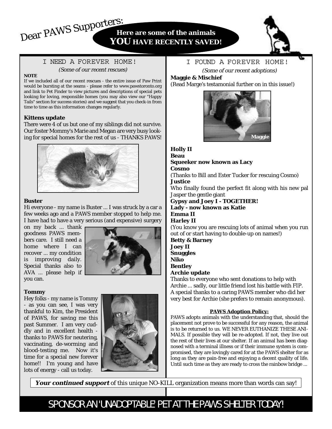Dear PAWS Supporters: **Here are some of the animals YOU HAVE RECENTLY SAVED!**



## I NEED A FOREVER HOME!

#### **NOTE**

(Some of our recent rescues)

If we included all of our recent rescues - the entire issue of Paw Print would be bursting at the seams - please refer to www.pawstoronto.org and link to Pet Finder to view pictures and descriptions of special pets looking for loving, responsible homes (you may also view our "Happy Tails" section for success stories) and we suggest that you check-in from time to time as this information changes regularly.

#### **Kittens update**

There were 4 of us but one of my siblings did not survive. Our foster Mommy's Marie and Megan are very busy looking for special homes for the rest of us - THANKS PAWS!



#### **Buster**

Hi everyone - my name is Buster ... I was struck by a car a few weeks ago and a PAWS member stopped to help me. I have had to have a very serious (and expensive) surgery

on my back ... thank goodness PAWS members care. I still need a home where I can recover ... my condition is improving daily. Special thanks also to AVA ... please help if you can.



#### **Tommy**

Hey folks - my name is Tommy - as you can see, I was very thankful to Kim, the President of PAWS, for saving me this past Summer. I am very cuddly and in excellent health thanks to PAWS for neutering, vaccinating, de-worming and blood-testing me. Now it's time for a special new forever home!! I'm young and have lots of energy - call us today.



### I FOUND A FOREVER HOME!

(Some of our recent adoptions)

**Maggie & Mischief**

(Read Marge's testamonial further on in this issue!)



#### **Holly II**

**Beau Squeeker now known as Lacy Cosmo**  (Thanks to Bill and Ester Tucker for rescuing Cosmo)

**Justice** 

Who finally found the perfect fit along with his new pal Jasper the gentle giant

**Gypsy and Joey I - TOGETHER! Lady - now known as Katie Emma II**

#### **Harley II**

(You know you are rescuing lots of animal when you run out of or start having to double-up on names!)

**Betty & Barney Joey II Snuggles Niko Bentley Archie update** 

Thanks to everyone who sent donations to help with Archie ... sadly, our little friend lost his battle with FIP. A special thanks to a caring PAWS member who did her very best for Archie (she prefers to remain anonymous).

#### **PAWS Adoption Policy:**

PAWS adopts animals with the understanding that, should the placement not prove to be successful for any reason, the animal is to be returned to us. WE NEVER EUTHANIZE THESE ANI-MALS. If possible they will be re-adopted. If not, they live out the rest of their lives at our shelter. If an animal has been diagnosed with a terminal illness or if their immune system is compromised, they are lovingly cared for at the PAWS shelter for as long as they are pain-free and enjoying a decent quality of life. Until such time as they are ready to cross the rainbow bridge ...

Your continued support of this unique NO-KILL organization means more than words can say!

SPONSOR AN 'UNADOPTABLE' PET AT THE PAWS SHELTER TODAY!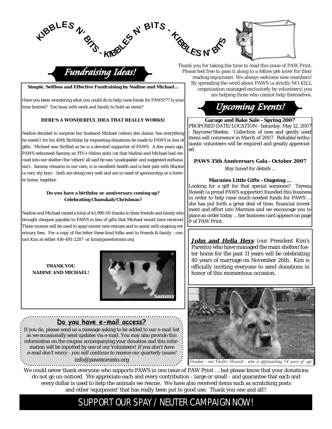

Fundraising Ideas!

**Simple, Selfless and Effective Fundraising by Nadine and Michael...**

Have you been wondering what you could do to help raise funds for PAWS??? Is your time limited? Too busy with work and family to hold an event?

#### **HERE'S A WONDERFUL IDEA THAT REALLY WORKS!**

Nadine decided to surprise her husband Michael (whom she claims 'has everything he needs') for his 40th Birthday by requesting donations be made to PAWS in lieu of gifts. Michael was thrilled as he is a devoted supporter of PAWS. A few years ago, PAWS welcomed Sammy an FIV+ (feline aids) cat that Nadine and Michael had rescued into our shelter (the 'others' all said he was 'unadopable' and suggested euthanasia!). Sammy remains in our care, is in excellent health and is best pals with Blackie (a very shy boy) - both are doing very well and are in need of sponsorship or a forever home, together.

#### **Do you have a birthday or anniversary coming up? Celebrating Chanukah/Christmas?**

Nadine and Michael raised a total of \$1,990.00 thanks to their friends and family who brought cheques payable to PAWS in lieu of gifts that Michael would have received. These monies will be used to spay/neuter new rescues and to assist with ongoing veterinary fees. For a copy of the letter these kind folks sent to friends & family - contact Kim at either 416-491-2287 or kim@pawstoronto.org

**THANK YOU NADINE AND MICHAEL!**



#### **Do you have e-mail access?**

If you do, please send us a message asking to be added to our e-mail list as we occasionally send updates via e-mail. You may also provide this information on the coupon accompanying your donation and this information will be inputted by one of our Volunteers! If you don't have e-mail don't worry - you will continue to receive our quarterly issues! info@pawstoronto.org

We could never thank everyone who supports PAWS in one issue of PAW Print … but please know that your donations do not go un-noticed. We appreciate each and every contribution - large or small - and guarantee that each and every dollar is used to help the animals we rescue. We have also received items such as scratching posts and other 'equipment' that has really been put to good use. Thank you one and all!!

Thank you for taking the time to read this issue of PAW Print. Please feel free to pass it along to a fellow pet-lover for their reading enjoyment. We always welcome new members! By spreading the word about PAWS (a strictly NO-KILL organization managed exclusively by volunteers) you are helping those who cannot help themselves.



#### **Garage and Bake Sale - Spring 2007**

PROPOSED DATE/LOCATION - Saturday, May 12, 2007 Bayview/Steeles. Collection of new and gently used items will commence in March of 2007. Reliable/enthusiastic volunteers will be required and greatly appreciated.

#### **PAWS 35th Anniversary Gala - October 2007**

Stay tuned for details …

#### **Marmies Little Gifts - Ongoing …**

Looking for a gift for that special someone? Teresia Rowatt (a proud PAWS supporter) founded this business in order to help raise much-needed funds for PAWS … she has put forth a great deal of time, financial investment and effort into Marmies and we encourage you to place an order today … her business card appears on page 8 of PAW Print.

**John and Hella Heys** (our President Kim's Parents) who have managed the main shelter/foster home for the past 11 years will be celebrating 40 years of marriage on November 26th. Kim is officially inviting everyone to send donations in honor of this momentous occasion.



### SUPPORT OUR SPAY / NEUTER CAMPAIGN NOW!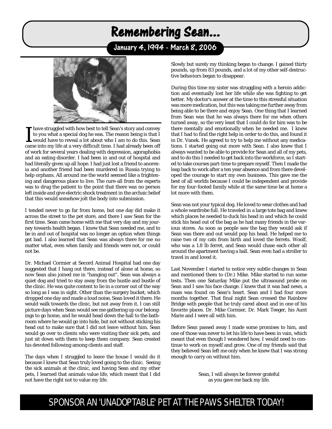# Remembering Sean...

### January 4, 1994 - March 8, 2006



Thave struggled with how best to tell Sean's story and convey<br>to you what a special dog he was. The reason being is that I<br>would have to reveal a lot about who I am to do this. Sean<br>came into my life at a very difficult ti have struggled with how best to tell Sean's story and convey to you what a special dog he was. The reason being is that I would have to reveal a lot about who I am to do this. Sean of work for several years dealing with depression, agoraphobia and an eating disorder. I had been in and out of hospital and had literally given up all hope. I had just lost a friend to anorexia and another friend had been murdered in Russia trying to help orphans. All around me the world seemed like a frightening and dangerous place to live. The cure-all from the experts was to drug the patient to the point that there was no person left inside and give electric shock treatment in the archaic belief that this would somehow jolt the body into submission.

I tended never to go far from home, but one day did make it across the street to the pet store, and there I saw Sean for the first time. Sean came home with me that very day and my journey towards health began. I knew that Sean needed me, and to be in and out of hospital was no longer an option when things got bad. I also learned that Sean was always there for me no matter what, even when family and friends were not, or could not be.

Dr. Michael Cormier at Secord Animal Hospital had one day suggested that I hang out there, instead of alone at home, so now Sean also joined me in "hanging out". Sean was always a quiet dog and tried to stay away from the hustle and bustle of the clinic. He was quite content to lie in a corner out of the way so long as I was in sight. Other than the surgery bucket, which dropped one day and made a loud noise, Sean loved it there. He would walk towards the clinic, but not away from it. I can still picture days when Sean would see me gathering up our belongings to go home, and he would head down the hall to the bathroom where he would go into hide, but not without sticking his head out to make sure that I did not leave without him. Sean would go over to clients who were visiting their sick pets, and just sit down with them to keep them company. Sean created his devoted following among clients and staff.

The days when I struggled to leave the house I would do it because I knew that Sean truly loved going to the clinic. Seeing the sick animals at the clinic, and having Sean and my other pets, I learned that animals value life, which meant that I did not have the right not to value my life.

Slowly but surely my thinking began to change. I gained thirty pounds, up from 83 pounds, and a lot of my other self-destructive behaviors began to disappear.

During this time my sister was struggling with a heroin addiction and eventually lost her life while she was fighting to get better. My doctor's answer at the time to this stressful situation was more medication, but this was taking me further away from being able to be there and enjoy Sean. One thing that I learned from Sean was that he was always there for me when others turned away, so the very least that I could do for him was to be there mentally and emotionally when he needed me. I knew that I had to find the right help in order to do this, and found it in Dr. Vanek. He agreed to try to help me without any medications. I started going out more with Sean. I also knew that I always wanted to be able to provide for Sean and all of my pets, and to do this I needed to get back into the workforce, so I started to take courses part-time to prepare myself. Then I made the leap back to work after a ten year absence and from there developed the courage to start my own business. This gave me the best of all worlds because I could be independent and provide for my four-footed family while at the same time be at home a lot more with them.

Sean was not your typical dog. He loved to wear clothes and had a whole wardrobe full. He traveled in a large tote bag and knew which places he needed to duck his head in and which he could stick his head out of the bag as he had many friends in the various stores. As soon as people saw the bag they would ask if Sean was there and out would pop his head. He helped me to raise two of my cats from birth and loved the ferrets. Woolf, who was a 1.8 lb ferret, and Sean would chase each other all around the apartment having a ball. Sean even had a stroller to travel in and loved it.

Last November I started to notice very subtle changes in Sean and mentioned them to (Dr.) Mike. Mike started to run some tests. Then one Saturday Mike put the ultrasound probe on Sean and I saw his face change. I knew that it was bad news, a mass was found on Sean's heart. Sean and I had four more months together. That final night Sean crossed the Rainbow Bridge with people that he truly cared about and in one of his favorite places. Dr. Mike Cormier, Dr. Mark Teeger, his Aunt Marie and I were all with him.

Before Sean passed away I made some promises to him, and one of those was never to let his life to have been in vain, which meant that even though I wondered how, I would need to continue to work on myself and grow. One of my friends said that they believed Sean left me only when he knew that I was strong enough to carry on without him.

> Sean, I will always be forever grateful as you gave me back my life.

### SPONSOR AN 'UNADOPTABLE' PET AT THE PAWS SHELTER TODAY!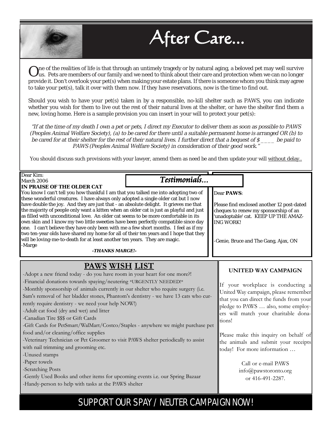

ne of the realities of life is that through an untimely tragedy or by natural aging, a beloved pet may well survive us. Pets are members of our family and we need to think about their care and protection when we can no longer provide it. Don't overlook your pet(s) when making your estate plans. If there is someone whom you think may agree to take your pet(s), talk it over with them now. If they have reservations, now is the time to find out.

Should you wish to have your pet(s) taken in by a responsible, no-kill shelter such as PAWS, you can indicate whether you wish for them to live out the rest of their natural lives at the shelter, or have the shelter find them a new, loving home. Here is a sample provision you can insert in your will to protect your pet(s):

"If at the time of my death I own a pet or pets, I direct my Executor to deliver them as soon as possible to PAWS (Peoples Animal Welfare Society), (a) to be cared for there until a suitable permanent home is arranged OR (b) to be cared for at their shelter for the rest of their natural lives. I further direct that a bequest of  $\mathcal{S}_{\text{max}}$  be paid to PAWS (Peoples Animal Welfare Society) in consideration of their good work."

You should discuss such provisions with your lawyer, amend them as need be and then update your will without delay..

| Dear Kim:<br>March 2006<br>IN PRAISE OF THE OLDER CAT                                                                                                                                                                                                                                                                                                                                                                                                                                                                                                                                                                                                                                                                                                                                                                                                                                                                                                    | Testimonials |                                |                                                                                                                                                                                                                                                                                                                                                                                                                     |
|----------------------------------------------------------------------------------------------------------------------------------------------------------------------------------------------------------------------------------------------------------------------------------------------------------------------------------------------------------------------------------------------------------------------------------------------------------------------------------------------------------------------------------------------------------------------------------------------------------------------------------------------------------------------------------------------------------------------------------------------------------------------------------------------------------------------------------------------------------------------------------------------------------------------------------------------------------|--------------|--------------------------------|---------------------------------------------------------------------------------------------------------------------------------------------------------------------------------------------------------------------------------------------------------------------------------------------------------------------------------------------------------------------------------------------------------------------|
| You know I can't tell you how thankful I am that you talked me into adopting two of<br>these wonderful creatures. I have always only adopted a single older cat but I now<br>have double the joy. And they are just that - an absolute delight. It grieves me that<br>the majority of people only want a kitten when an older cat is just as playful and just<br>as filled with unconditional love. An older cat seems to be more comfortable in its<br>own skin and I know my two little sweeties have been perfectly compatible since day<br>one. I can't believe they have only been with me a few short months. I feel as if my<br>two ten-year olds have shared my home for all of their ten years and I hope that they<br>will be loving-me-to-death for at least another ten years. They are magic.<br>-Marge<br>-THANKS MARGE!-                                                                                                                  |              | Dear PAWS:<br><b>ING WORK!</b> | Please find enclosed another 12 post-dated<br>cheques to renew my sponsorship of an<br>'unadoptable' cat. KEEP UP THE AMAZ-<br>-Genie, Bruce and The Gang, Ajax, ON                                                                                                                                                                                                                                                 |
| <b>PAWS WISH LIST</b><br>-Adopt a new friend today - do you have room in your heart for one more?!<br>-Financial donations towards spaying/neutering *URGENTLY NEEDED!*<br>-Monthly sponsorship of animals currently in our shelter who require surgery (i.e.<br>Sam's removal of her bladder stones, Phantom's dentistry - we have 13 cats who cur-<br>rently require dentistry - we need your help NOW!)<br>-Adult cat food (dry and wet) and litter<br>-Canadian Tire \$\$\$ or Gift Cards<br>-Gift Cards for PetSmart/WalMart/Costco/Staples - anywhere we might purchase pet<br>food and/or cleaning/office supplies<br>-Veterinary Technician or Pet Groomer to visit PAWS shelter periodically to assist<br>with nail trimming and grooming etc.<br>-Unused stamps<br>-Paper towels<br>-Scratching Posts<br>-Gently Used Books and other items for upcoming events i.e. our Spring Bazaar<br>-Handy-person to help with tasks at the PAWS shelter |              | tions!                         | <b>UNITED WAY CAMPAIGN</b><br>If your workplace is conducting a<br>United Way campaign, please remember<br>that you can direct the funds from your<br>pledge to PAWS  also, some employ-<br>ers will match your charitable dona-<br>Please make this inquiry on behalf of<br>the animals and submit your receipts<br>today! For more information<br>Call or e-mail PAWS<br>info@pawstoronto.org<br>or 416-491-2287. |

## SUPPORT OUR SPAY / NEUTER CAMPAIGN NOW!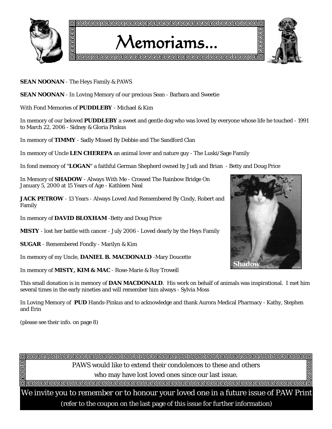

# emoriams...



**SEAN NOONAN** - The Heys Family & PAWS

**SEAN NOONAN** - In Loving Memory of our precious Sean - Barbara and Sweetie

With Fond Memories of **PUDDLEBY** - Michael & Kim

In memory of our beloved **PUDDLEBY** a sweet and gentle dog who was loved by everyone whose life he touched - 1991 to March 22, 2006 - Sidney & Gloria Pinkus

In memory of **TIMMY** - Sadly Missed By Debbie and The Sandford Clan

In memory of Uncle **LEN CHEREPA** an animal lover and nature guy - The Luski/Sage Family

In fond memory of "**LOGAN**" a faithful German Shepherd owned by Judi and Brian - Betty and Doug Price

In Memory of **SHADOW** - Always With Me - Crossed The Rainbow Bridge On January 5, 2000 at 15 Years of Age - Kathleen Neal

**JACK PETROW** - 13 Years - Always Loved And Remembered By Cindy, Robert and Family

In memory of **DAVID BLOXHAM** -Betty and Doug Price

**MISTY** - lost her battle with cancer - July 2006 - Loved dearly by the Heys Family

**SUGAR** - Remembered Fondly - Marilyn & Kim

In memory of my Uncle, **DANIEL B. MACDONALD** -Mary Doucette

In memory of **MISTY, KIM & MAC** - Rose-Marie & Roy Trowell

This small donation is in memory of **DAN MACDONALD**. His work on behalf of animals was inspirational. I met him several times in the early nineties and will remember him always - Sylvia Moss

In Loving Memory of **PUD** Hands-Pinkus and to acknowledge and thank Aurora Medical Pharmacy - Kathy, Stephen and Erin

(please see their info. on page 8)

回

回回回

PAWS would like to extend their condolences to these and others

who may have lost loved ones since our last issue.

We invite you to remember or to honour your loved one in a future issue of PAW Print (refer to the coupon on the last page of this issue for further information)



司

回